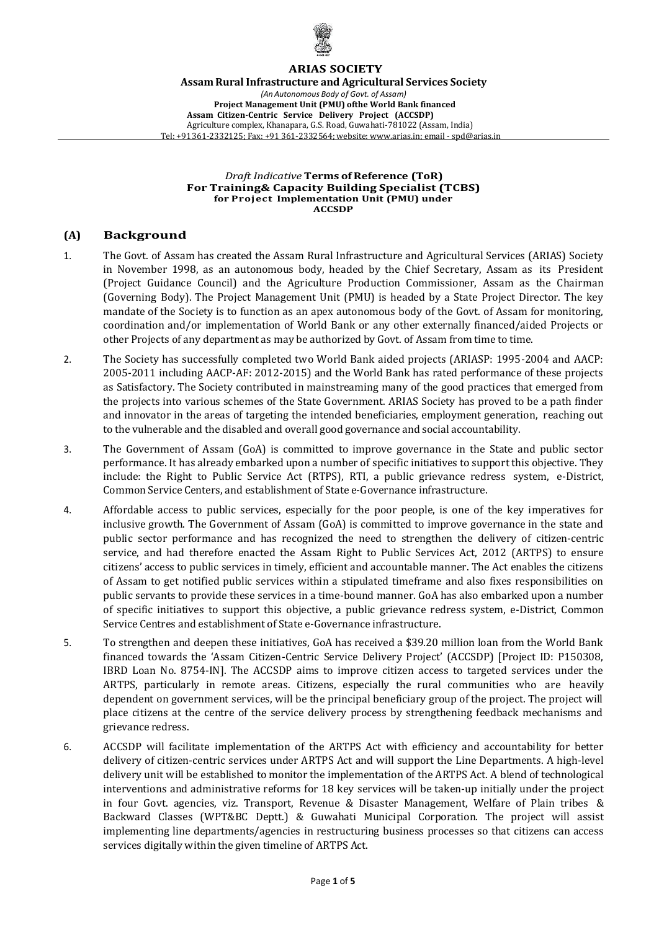

#### **ARIAS SOCIETY**

**Assam Rural Infrastructure and Agricultural Services Society** *(An Autonomous Body of Govt. of Assam)* **Project Management Unit (PMU) ofthe World Bank financed Assam Citizen-Centric Service Delivery Project (ACCSDP)** Agriculture complex, Khanapara, G.S. Road, Guwahati-781022 (Assam, India) Tel: +91 361-2332125; Fax: +91 361-2332564; website: [www.arias.in;](mailto:www.arias.in%3Bemail-spd@arias.in) email - spd@arias.in

*Draft Indicative* **Terms of Reference (ToR) For Training& Capacity Building Specialist (TCBS) for Project Implementation Unit (PMU) under ACCSDP**

## **(A) Background**

- 1. The Govt. of Assam has created the Assam Rural Infrastructure and Agricultural Services (ARIAS) Society in November 1998, as an autonomous body, headed by the Chief Secretary, Assam as its President (Project Guidance Council) and the Agriculture Production Commissioner, Assam as the Chairman (Governing Body). The Project Management Unit (PMU) is headed by a State Project Director. The key mandate of the Society is to function as an apex autonomous body of the Govt. of Assam for monitoring, coordination and/or implementation of World Bank or any other externally financed/aided Projects or other Projects of any department as may be authorized by Govt. of Assam from time to time.
- 2. The Society has successfully completed two World Bank aided projects (ARIASP: 1995-2004 and AACP: 2005-2011 including AACP-AF: 2012-2015) and the World Bank has rated performance of these projects as Satisfactory. The Society contributed in mainstreaming many of the good practices that emerged from the projects into various schemes of the State Government. ARIAS Society has proved to be a path finder and innovator in the areas of targeting the intended beneficiaries, employment generation, reaching out to the vulnerable and the disabled and overall good governance and social accountability.
- 3. The Government of Assam (GoA) is committed to improve governance in the State and public sector performance. It has already embarked upon a number of specific initiatives to support this objective. They include: the Right to Public Service Act (RTPS), RTI, a public grievance redress system, e-District, Common Service Centers, and establishment of State e-Governance infrastructure.
- 4. Affordable access to public services, especially for the poor people, is one of the key imperatives for inclusive growth. The Government of Assam (GoA) is committed to improve governance in the state and public sector performance and has recognized the need to strengthen the delivery of citizen-centric service, and had therefore enacted the Assam Right to Public Services Act, 2012 (ARTPS) to ensure citizens' access to public services in timely, efficient and accountable manner. The Act enables the citizens of Assam to get notified public services within a stipulated timeframe and also fixes responsibilities on public servants to provide these services in a time-bound manner. GoA has also embarked upon a number of specific initiatives to support this objective, a public grievance redress system, e-District, Common Service Centres and establishment of State e-Governance infrastructure.
- 5. To strengthen and deepen these initiatives, GoA has received a \$39.20 million loan from the World Bank financed towards the 'Assam Citizen-Centric Service Delivery Project' (ACCSDP) [Project ID: P150308, IBRD Loan No. 8754-IN]. The ACCSDP aims to improve citizen access to targeted services under the ARTPS, particularly in remote areas. Citizens, especially the rural communities who are heavily dependent on government services, will be the principal beneficiary group of the project. The project will place citizens at the centre of the service delivery process by strengthening feedback mechanisms and grievance redress.
- 6. ACCSDP will facilitate implementation of the ARTPS Act with efficiency and accountability for better delivery of citizen-centric services under ARTPS Act and will support the Line Departments. A high-level delivery unit will be established to monitor the implementation of the ARTPS Act. A blend of technological interventions and administrative reforms for 18 key services will be taken-up initially under the project in four Govt. agencies, viz. Transport, Revenue & Disaster Management, Welfare of Plain tribes & Backward Classes (WPT&BC Deptt.) & Guwahati Municipal Corporation. The project will assist implementing line departments/agencies in restructuring business processes so that citizens can access services digitally within the given timeline of ARTPS Act.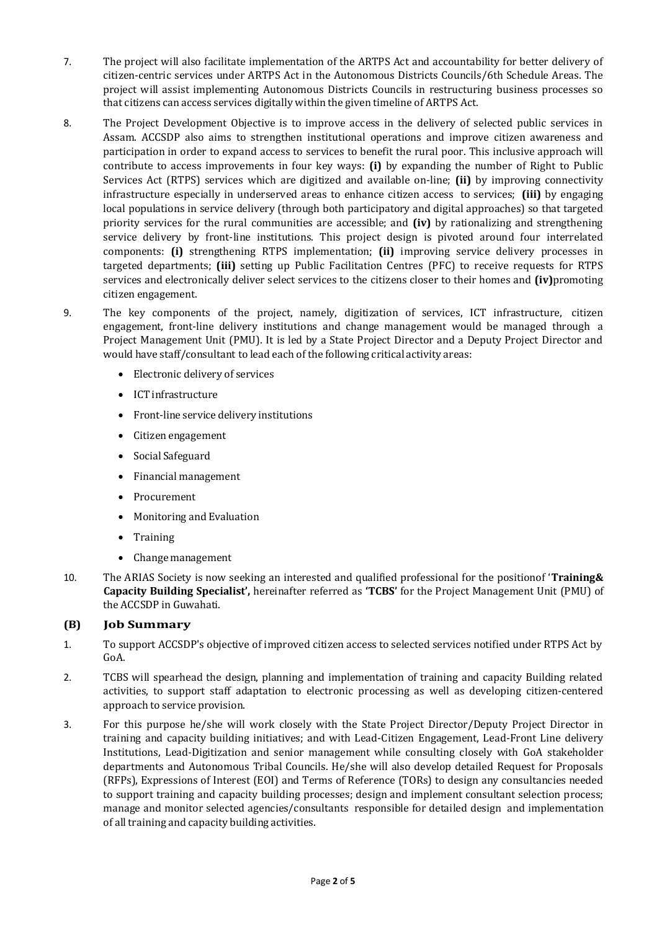- 7. The project will also facilitate implementation of the ARTPS Act and accountability for better delivery of citizen-centric services under ARTPS Act in the Autonomous Districts Councils/6th Schedule Areas. The project will assist implementing Autonomous Districts Councils in restructuring business processes so that citizens can access services digitally within the given timeline of ARTPS Act.
- 8. The Project Development Objective is to improve access in the delivery of selected public services in Assam. ACCSDP also aims to strengthen institutional operations and improve citizen awareness and participation in order to expand access to services to benefit the rural poor. This inclusive approach will contribute to access improvements in four key ways: **(i)** by expanding the number of Right to Public Services Act (RTPS) services which are digitized and available on-line; **(ii)** by improving connectivity infrastructure especially in underserved areas to enhance citizen access to services; **(iii)** by engaging local populations in service delivery (through both participatory and digital approaches) so that targeted priority services for the rural communities are accessible; and **(iv)** by rationalizing and strengthening service delivery by front-line institutions. This project design is pivoted around four interrelated components: **(i)** strengthening RTPS implementation; **(ii)** improving service delivery processes in targeted departments; **(iii)** setting up Public Facilitation Centres (PFC) to receive requests for RTPS services and electronically deliver select services to the citizens closer to their homes and **(iv)**promoting citizen engagement.
- 9. The key components of the project, namely, digitization of services, ICT infrastructure, citizen engagement, front-line delivery institutions and change management would be managed through a Project Management Unit (PMU). It is led by a State Project Director and a Deputy Project Director and would have staff/consultant to lead each of the following critical activity areas:
	- Electronic delivery of services
	- ICT infrastructure
	- Front-line service delivery institutions
	- Citizen engagement
	- Social Safeguard
	- Financial management
	- Procurement
	- Monitoring and Evaluation
	- Training
	- Change management
- 10. The ARIAS Society is now seeking an interested and qualified professional for the positionof '**Training& Capacity Building Specialist',** hereinafter referred as **'TCBS'** for the Project Management Unit (PMU) of the ACCSDP in Guwahati.

## **(B) Job Summary**

- 1. To support ACCSDP's objective of improved citizen access to selected services notified under RTPS Act by GoA.
- 2. TCBS will spearhead the design, planning and implementation of training and capacity Building related activities, to support staff adaptation to electronic processing as well as developing citizen-centered approach to service provision.
- 3. For this purpose he/she will work closely with the State Project Director/Deputy Project Director in training and capacity building initiatives; and with Lead-Citizen Engagement, Lead-Front Line delivery Institutions, Lead-Digitization and senior management while consulting closely with GoA stakeholder departments and Autonomous Tribal Councils. He/she will also develop detailed Request for Proposals (RFPs), Expressions of Interest (EOI) and Terms of Reference (TORs) to design any consultancies needed to support training and capacity building processes; design and implement consultant selection process; manage and monitor selected agencies/consultants responsible for detailed design and implementation of all training and capacity building activities.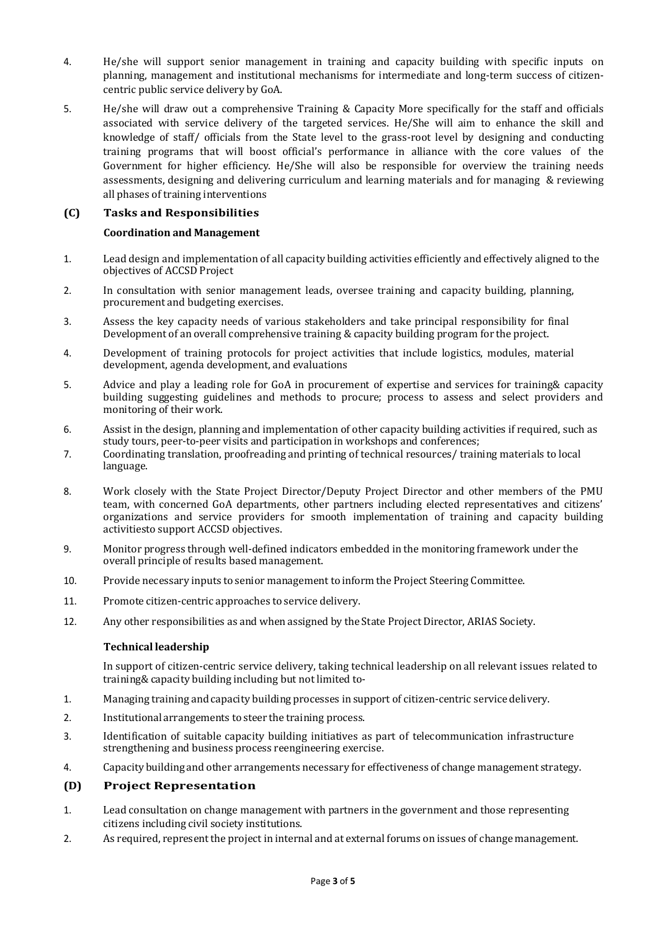- 4. He/she will support senior management in training and capacity building with specific inputs on planning, management and institutional mechanisms for intermediate and long-term success of citizencentric public service delivery by GoA.
- 5. He/she will draw out a comprehensive Training & Capacity More specifically for the staff and officials associated with service delivery of the targeted services. He/She will aim to enhance the skill and knowledge of staff/ officials from the State level to the grass-root level by designing and [conducting](https://resources.workable.com/new-hire-training-checklist) training [programs](https://resources.workable.com/new-hire-training-checklist) that will boost official's performance in alliance with the core values of the Government for higher efficiency. He/She will also be responsible for overview the training needs assessments, designing and delivering curriculum and learning materials and for managing & reviewing all phases of training interventions

## **(C) Tasks and Responsibilities**

#### **Coordination and Management**

- 1. Lead design and implementation of all capacity building activities efficiently and effectively aligned to the objectives of ACCSD Project
- 2. In consultation with senior management leads, oversee training and capacity building, planning, procurement and budgeting exercises.
- 3. Assess the key capacity needs of various stakeholders and take principal responsibility for final Development of an overall comprehensive training & capacity building program for the project.
- 4. Development of training protocols for project activities that include logistics, modules, material development, agenda development, and evaluations
- 5. Advice and play a leading role for GoA in procurement of expertise and services for training& capacity building suggesting guidelines and methods to procure; process to assess and select providers and monitoring of their work.
- 6. Assist in the design, planning and implementation of other capacity building activities if required, such as study tours, peer-to-peer visits and participation in workshops and conferences;
- 7. Coordinating translation, proofreading and printing of technical resources/ training materials to local language.
- 8. Work closely with the State Project Director/Deputy Project Director and other members of the PMU team, with concerned GoA departments, other partners including elected representatives and citizens' organizations and service providers for smooth implementation of training and capacity building activitiesto support ACCSD objectives.
- 9. Monitor progress through well-defined indicators embedded in the monitoring framework under the overall principle of results based management.
- 10. Provide necessary inputs to senior management to inform the Project Steering Committee.
- 11. Promote citizen-centric approaches to service delivery.
- 12. Any other responsibilities as and when assigned by the State Project Director, ARIAS Society.

#### **Technical leadership**

In support of citizen-centric service delivery, taking technical leadership on all relevant issues related to training& capacity building including but not limited to-

- 1. Managing training and capacity building processes in support of citizen-centric service delivery.
- 2. Institutional arrangements to steer the training process.
- 3. Identification of suitable capacity building initiatives as part of telecommunication infrastructure strengthening and business process reengineering exercise.
- 4. Capacity building and other arrangements necessary for effectiveness of change management strategy.

## **(D) Project Representation**

- 1. Lead consultation on change management with partners in the government and those representing citizens including civil society institutions.
- 2. As required, represent the project in internal and at external forums on issues of change management.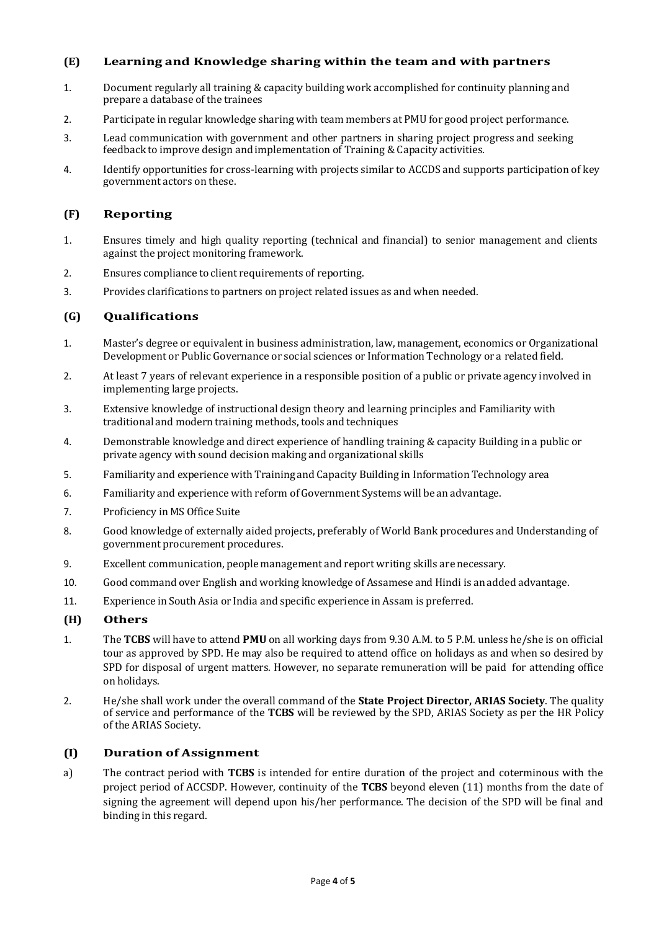## **(E) Learning and Knowledge sharing within the team and with partners**

- 1. Document regularly all training & capacity building work accomplished for continuity planning and prepare a database of the trainees
- 2. Participate in regular knowledge sharing with team members at PMU for good project performance.
- 3. Lead communication with government and other partners in sharing project progress and seeking feedback to improve design and implementation of Training & Capacity activities.
- 4. Identify opportunities for cross-learning with projects similar to ACCDS and supports participation of key government actors on these.

## **(F) Reporting**

- 1. Ensures timely and high quality reporting (technical and financial) to senior management and clients against the project monitoring framework.
- 2. Ensures compliance to client requirements of reporting.
- 3. Provides clarifications to partners on project related issues as and when needed.

## **(G) Qualifications**

- 1. Master's degree or equivalent in business administration, law, management, economics or Organizational Development or Public Governance or social sciences or Information Technology or a related field.
- 2. At least 7 years of relevant experience in a responsible position of a public or private agency involved in implementing large projects.
- 3. Extensive knowledge of instructional design theory and learning principles and Familiarity with traditional and modern training methods, tools and techniques
- 4. Demonstrable knowledge and direct experience of handling training & capacity Building in a public or private agency with sound decision making and organizational skills
- 5. Familiarity and experience with Training and Capacity Building in Information Technology area
- 6. Familiarity and experience with reform of Government Systems will be an advantage.
- 7. Proficiency in MS Office Suite
- 8. Good knowledge of externally aided projects, preferably of World Bank procedures and Understanding of government procurement procedures.
- 9. Excellent communication, people management and report writing skills are necessary.
- 10. Good command over English and working knowledge of Assamese and Hindi is anadded advantage.
- 11. Experience in South Asia or India and specific experience in Assam is preferred.

## **(H) Others**

- 1. The **TCBS** will have to attend **PMU** on all working days from 9.30 A.M. to 5 P.M. unless he/she is on official tour as approved by SPD. He may also be required to attend office on holidays as and when so desired by SPD for disposal of urgent matters. However, no separate remuneration will be paid for attending office on holidays.
- 2. He/she shall work under the overall command of the **State Project Director, ARIAS Society**. The quality of service and performance of the **TCBS** will be reviewed by the SPD, ARIAS Society as per the HR Policy of the ARIAS Society.

## **(I) Duration of Assignment**

a) The contract period with **TCBS** is intended for entire duration of the project and coterminous with the project period of ACCSDP. However, continuity of the **TCBS** beyond eleven (11) months from the date of signing the agreement will depend upon his/her performance. The decision of the SPD will be final and binding in this regard.